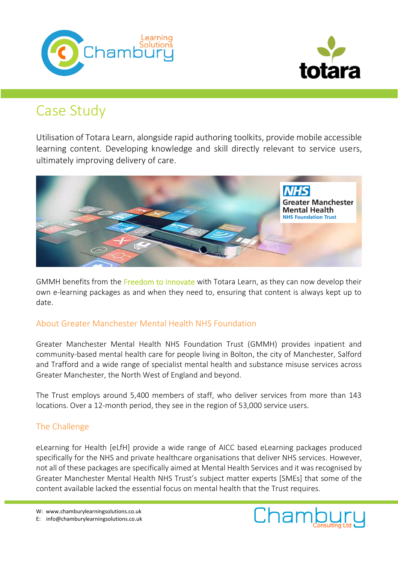



# Case Study

Utilisation of Totara Learn, alongside rapid authoring toolkits, provide mobile accessible learning content. Developing knowledge and skill directly relevant to service users, ultimately improving delivery of care.



GMMH benefits from the Freedom to Innovate with Totara Learn, as they can now develop their own e-learning packages as and when they need to, ensuring that content is always kept up to date.

## About Greater Manchester Mental Health NHS Foundation

Greater Manchester Mental Health NHS Foundation Trust (GMMH) provides inpatient and community-based mental health care for people living in Bolton, the city of Manchester, Salford and Trafford and a wide range of specialist mental health and substance misuse services across Greater Manchester, the North West of England and beyond.

The Trust employs around 5,400 members of staff, who deliver services from more than 143 locations. Over a 12-month period, they see in the region of 53,000 service users.

## The Challenge

eLearning for Health [eLfH] provide a wide range of AICC based eLearning packages produced specifically for the NHS and private healthcare organisations that deliver NHS services. However, not all of these packages are specifically aimed at Mental Health Services and it was recognised by Greater Manchester Mental Health NHS Trust's subject matter experts [SMEs] that some of the content available lacked the essential focus on mental health that the Trust requires.

W: www.chamburylearningsolutions.co.uk

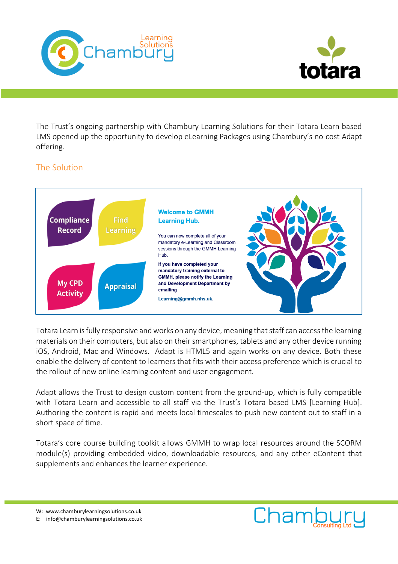



The Trust's ongoing partnership with Chambury Learning Solutions for their Totara Learn based LMS opened up the opportunity to develop eLearning Packages using Chambury's no-cost Adapt offering.

## The Solution



Totara Learn is fully responsive and works on any device, meaning that staff can access the learning materials on their computers, but also on their smartphones, tablets and any other device running iOS, Android, Mac and Windows. Adapt is HTML5 and again works on any device. Both these enable the delivery of content to learners that fits with their access preference which is crucial to the rollout of new online learning content and user engagement.

Adapt allows the Trust to design custom content from the ground-up, which is fully compatible with Totara Learn and accessible to all staff via the Trust's Totara based LMS [Learning Hub]. Authoring the content is rapid and meets local timescales to push new content out to staff in a short space of time.

Totara's core course building toolkit allows GMMH to wrap local resources around the SCORM module(s) providing embedded video, downloadable resources, and any other eContent that supplements and enhances the learner experience.

W: www.chamburylearningsolutions.co.uk

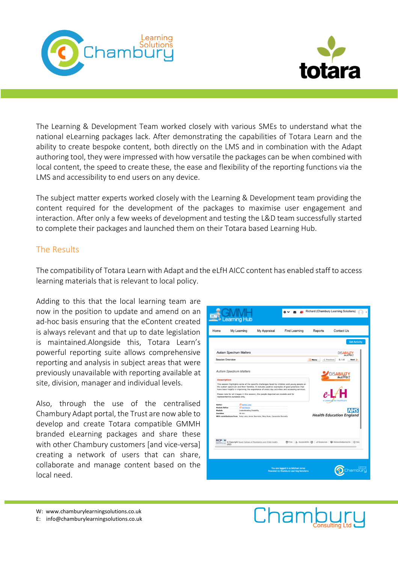



The Learning & Development Team worked closely with various SMEs to understand what the national eLearning packages lack. After demonstrating the capabilities of Totara Learn and the ability to create bespoke content, both directly on the LMS and in combination with the Adapt authoring tool, they were impressed with how versatile the packages can be when combined with local content, the speed to create these, the ease and flexibility of the reporting functions via the LMS and accessibility to end users on any device.

The subject matter experts worked closely with the Learning & Development team providing the content required for the development of the packages to maximise user engagement and interaction. After only a few weeks of development and testing the L&D team successfully started to complete their packages and launched them on their Totara based Learning Hub.

#### The Results

The compatibility of Totara Learn with Adapt and the eLfH AICC content has enabled staff to access learning materials that is relevant to local policy.

Adding to this that the local learning team are now in the position to update and amend on an ad-hoc basis ensuring that the eContent created is always relevant and that up to date legislation is maintained.Alongside this, Totara Learn's powerful reporting suite allows comprehensive reporting and analysis in subject areas that were previously unavailable with reporting available at site, division, manager and individual levels.

Also, through the use of the centralised Chambury Adapt portal, the Trust are now able to develop and create Totara compatible GMMH branded eLearning packages and share these with other Chambury customers [and vice-versa] creating a network of users that can share, collaborate and manage content based on the local need.